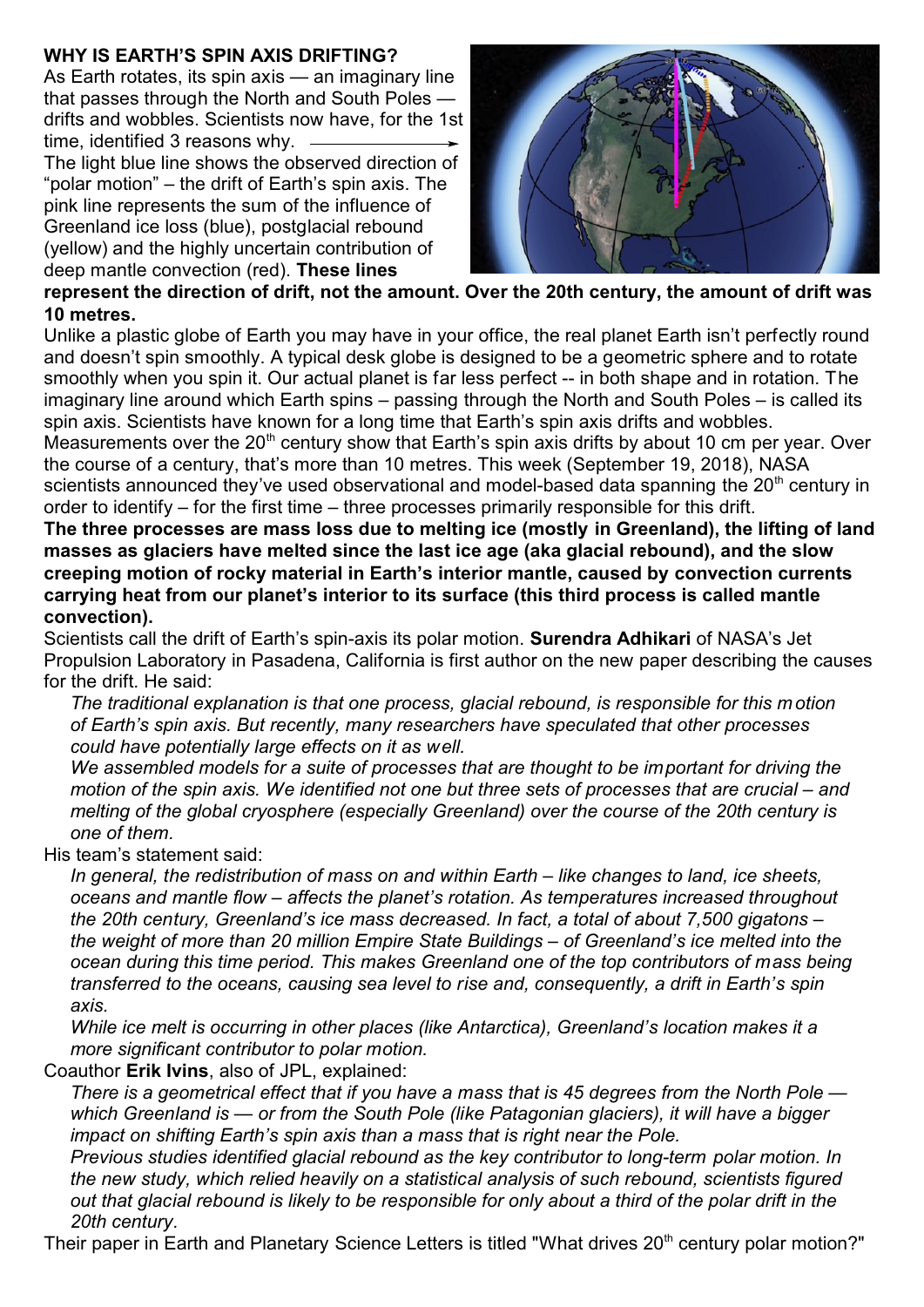## **WHY IS EARTH'S SPIN AXIS DRIFTING?**

As Earth rotates, its spin axis — an imaginary line that passes through the North and South Poles drifts and wobbles. Scientists now have, for the 1st time, identified 3 reasons why.

The light blue line shows the observed direction of "polar motion" – the drift of Earth's spin axis. The pink line represents the sum of the influence of Greenland ice loss (blue), postglacial rebound (yellow) and the highly uncertain contribution of deep mantle convection (red). **These lines**



## **represent the direction of drift, not the amount. Over the 20th century, the amount of drift was 10 metres.**

Unlike a plastic globe of Earth you may have in your office, the real planet Earth isn't perfectly round and doesn't spin smoothly. A typical desk globe is designed to be a geometric sphere and to rotate smoothly when you spin it. Our actual planet is far less perfect -- in both shape and in rotation. The imaginary line around which Earth spins – passing through the North and South Poles – is called its spin axis. Scientists have known for a long time that Earth's spin axis drifts and wobbles. Measurements over the 20<sup>th</sup> century show that Earth's spin axis drifts by about 10 cm per year. Over the course of a century, that's more than 10 metres. This week (September 19, 2018), NASA scientists announced they've used observational and model-based data spanning the 20<sup>th</sup> century in order to identify – for the first time – three processes primarily responsible for this drift.

**The three processes are mass loss due to melting ice (mostly in Greenland), the lifting of land masses as glaciers have melted since the last ice age (aka glacial rebound), and the slow creeping motion of rocky material in Earth's interior mantle, caused by convection currents carrying heat from our planet's interior to its surface (this third process is called mantle convection).** 

Scientists call the drift of Earth's spin-axis its polar motion. **Surendra Adhikari** of NASA's Jet Propulsion Laboratory in Pasadena, California is first author on the new paper describing the causes for the drift. He said:

*The traditional explanation is that one process, glacial rebound, is responsible for this m otion of Earth's spin axis. But recently, many researchers have speculated that other processes could have potentially large effects on it as well.*

*We assembled models for a suite of processes that are thought to be important for driving the motion of the spin axis. We identified not one but three sets of processes that are crucial – and melting of the global cryosphere (especially Greenland) over the course of the 20th century is one of them.*

His team's statement said:

*In general, the redistribution of mass on and within Earth – like changes to land, ice sheets, oceans and mantle flow – affects the planet's rotation. As temperatures increased throughout the 20th century, Greenland's ice mass decreased. In fact, a total of about 7,500 gigatons – the weight of more than 20 million Empire State Buildings – of Greenland's ice melted into the ocean during this time period. This makes Greenland one of the top contributors of mass being transferred to the oceans, causing sea level to rise and, consequently, a drift in Earth's spin axis.*

*While ice melt is occurring in other places (like Antarctica), Greenland's location makes it a more significant contributor to polar motion.*

Coauthor **Erik Ivins**, also of JPL, explained:

*There is a geometrical effect that if you have a mass that is 45 degrees from the North Pole which Greenland is — or from the South Pole (like Patagonian glaciers), it will have a bigger impact on shifting Earth's spin axis than a mass that is right near the Pole.*

*Previous studies identified glacial rebound as the key contributor to long-term polar motion. In the new study, which relied heavily on a statistical analysis of such rebound, scientists figured out that glacial rebound is likely to be responsible for only about a third of the polar drift in the 20th century.*

Their paper in Earth and Planetary Science Letters is titled "What drives 20<sup>th</sup> century polar motion?"